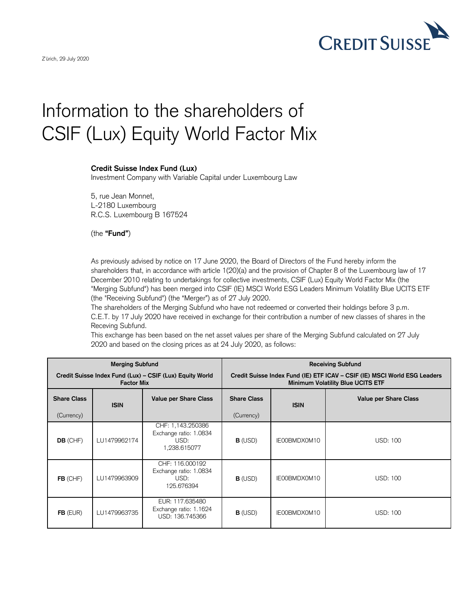

## Information to the shareholders of CSIF (Lux) Equity World Factor Mix

## **Credit Suisse Index Fund (Lux)**

Investment Company with Variable Capital under Luxembourg Law

5, rue Jean Monnet, L-2180 Luxembourg R.C.S. Luxembourg B 167524

(the **"Fund"**)

As previously advised by notice on 17 June 2020, the Board of Directors of the Fund hereby inform the shareholders that, in accordance with article 1(20)(a) and the provision of Chapter 8 of the Luxembourg law of 17 December 2010 relating to undertakings for collective investments, CSIF (Lux) Equity World Factor Mix (the "Merging Subfund") has been merged into CSIF (IE) MSCI World ESG Leaders Minimum Volatility Blue UCITS ETF (the "Receiving Subfund") (the "Merger") as of 27 July 2020.

The shareholders of the Merging Subfund who have not redeemed or converted their holdings before 3 p.m. C.E.T. by 17 July 2020 have received in exchange for their contribution a number of new classes of shares in the Receving Subfund.

This exchange has been based on the net asset values per share of the Merging Subfund calculated on 27 July 2020 and based on the closing prices as at 24 July 2020, as follows:

| <b>Merging Subfund</b>                                                        |              |                                                                     | <b>Receiving Subfund</b>                                                                                              |              |                              |
|-------------------------------------------------------------------------------|--------------|---------------------------------------------------------------------|-----------------------------------------------------------------------------------------------------------------------|--------------|------------------------------|
| Credit Suisse Index Fund (Lux) – CSIF (Lux) Equity World<br><b>Factor Mix</b> |              |                                                                     | Credit Suisse Index Fund (IE) ETF ICAV - CSIF (IE) MSCI World ESG Leaders<br><b>Minimum Volatility Blue UCITS ETF</b> |              |                              |
| <b>Share Class</b>                                                            | <b>ISIN</b>  | <b>Value per Share Class</b>                                        | <b>Share Class</b>                                                                                                    | <b>ISIN</b>  | <b>Value per Share Class</b> |
| (Currency)                                                                    |              |                                                                     | (Currency)                                                                                                            |              |                              |
| <b>DB</b> (CHF)                                                               | LU1479962174 | CHF: 1,143.250386<br>Exchange ratio: 1.0834<br>USD:<br>1,238.615077 | <b>B</b> (USD)                                                                                                        | IE00BMDX0M10 | USD: 100                     |
| $FB$ (CHF)                                                                    | LU1479963909 | CHF: 116.000192<br>Exchange ratio: 1.0834<br>USD:<br>125.676394     | $B$ (USD)                                                                                                             | IE00BMDX0M10 | <b>USD: 100</b>              |
| $FB$ (EUR)                                                                    | LU1479963735 | EUR: 117,635480<br>Exchange ratio: 1.1624<br>USD: 136.745366        | $B$ (USD)                                                                                                             | IE00BMDX0M10 | <b>USD: 100</b>              |